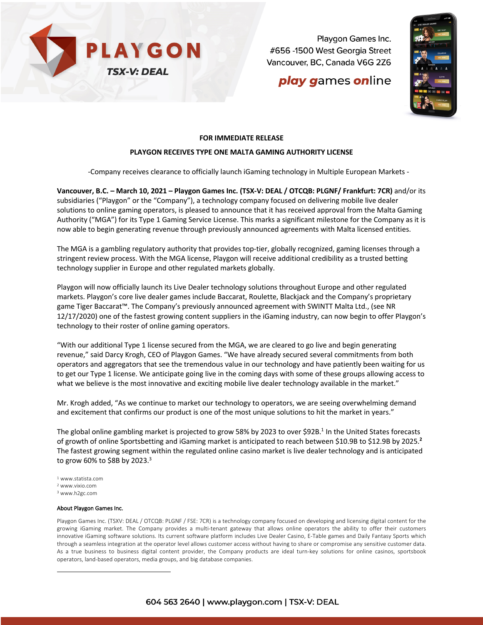

Playgon Games Inc. #656 -1500 West Georgia Street Vancouver, BC, Canada V6G 2Z6

# play games online



### **FOR IMMEDIATE RELEASE**

### **PLAYGON RECEIVES TYPE ONE MALTA GAMING AUTHORITY LICENSE**

-Company receives clearance to officially launch iGaming technology in Multiple European Markets -

**Vancouver, B.C. – March 10, 2021 – Playgon Games Inc. (TSX-V: DEAL / OTCQB: PLGNF/ Frankfurt: 7CR)** and/or its subsidiaries ("Playgon" or the "Company"), a technology company focused on delivering mobile live dealer solutions to online gaming operators, is pleased to announce that it has received approval from the Malta Gaming Authority ("MGA") for its Type 1 Gaming Service License. This marks a significant milestone for the Company as it is now able to begin generating revenue through previously announced agreements with Malta licensed entities.

The MGA is a gambling regulatory authority that provides top-tier, globally recognized, gaming licenses through a stringent review process. With the MGA license, Playgon will receive additional credibility as a trusted betting technology supplier in Europe and other regulated markets globally.

Playgon will now officially launch its Live Dealer technology solutions throughout Europe and other regulated markets. Playgon's core live dealer games include Baccarat, Roulette, Blackjack and the Company's proprietary game Tiger Baccarat™. The Company's previously announced agreement with SWINTT Malta Ltd., (see NR 12/17/2020) one of the fastest growing content suppliers in the iGaming industry, can now begin to offer Playgon's technology to their roster of online gaming operators.

"With our additional Type 1 license secured from the MGA, we are cleared to go live and begin generating revenue," said Darcy Krogh, CEO of Playgon Games. "We have already secured several commitments from both operators and aggregators that see the tremendous value in our technology and have patiently been waiting for us to get our Type 1 license. We anticipate going live in the coming days with some of these groups allowing access to what we believe is the most innovative and exciting mobile live dealer technology available in the market."

Mr. Krogh added, "As we continue to market our technology to operators, we are seeing overwhelming demand and excitement that confirms our product is one of the most unique solutions to hit the market in years."

The global online gambling market is projected to grow 58% by 2023 to over \$92B.<sup>1</sup> In the United States forecasts of growth of online Sportsbetting and iGaming market is anticipated to reach between \$10.9B to \$12.9B by 2025. **2** The fastest growing segment within the regulated online casino market is live dealer technology and is anticipated to grow 60% to \$8B by 2023. $3$ 

- <sup>1</sup> www.statista.com
- <sup>2</sup> www.vixio.com
- <sup>3</sup> www.h2gc.com

#### About Playgon Games Inc.

Playgon Games Inc. (TSXV: DEAL / OTCQB: PLGNF / FSE: 7CR) is a technology company focused on developing and licensing digital content for the growing iGaming market. The Company provides a multi-tenant gateway that allows online operators the ability to offer their customers innovative iGaming software solutions. Its current software platform includes Live Dealer Casino, E-Table games and Daily Fantasy Sports which through a seamless integration at the operator level allows customer access without having to share or compromise any sensitive customer data. As a true business to business digital content provider, the Company products are ideal turn-key solutions for online casinos, sportsbook operators, land-based operators, media groups, and big database companies.